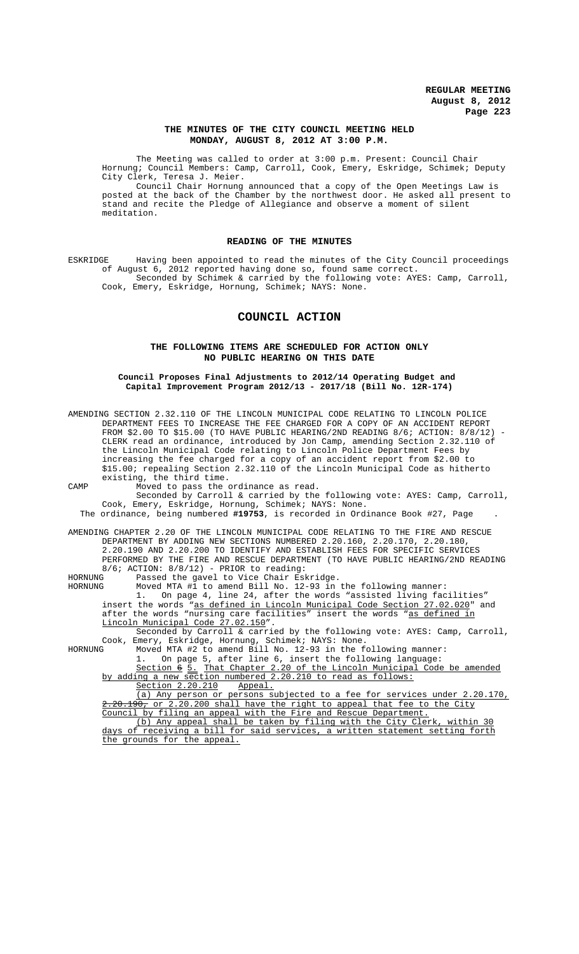## **THE MINUTES OF THE CITY COUNCIL MEETING HELD MONDAY, AUGUST 8, 2012 AT 3:00 P.M.**

The Meeting was called to order at 3:00 p.m. Present: Council Chair Hornung; Council Members: Camp, Carroll, Cook, Emery, Eskridge, Schimek; Deputy City Clerk, Teresa J. Meier.

Council Chair Hornung announced that a copy of the Open Meetings Law is posted at the back of the Chamber by the northwest door. He asked all present to stand and recite the Pledge of Allegiance and observe a moment of silent meditation.

# **READING OF THE MINUTES**

ESKRIDGE Having been appointed to read the minutes of the City Council proceedings of August 6, 2012 reported having done so, found same correct. Seconded by Schimek & carried by the following vote: AYES: Camp, Carroll, Cook, Emery, Eskridge, Hornung, Schimek; NAYS: None.

# **COUNCIL ACTION**

# **THE FOLLOWING ITEMS ARE SCHEDULED FOR ACTION ONLY NO PUBLIC HEARING ON THIS DATE**

**Council Proposes Final Adjustments to 2012/14 Operating Budget and Capital Improvement Program 2012/13 - 2017/18 (Bill No. 12R-174)**

| AMENDING SECTION 2.32.110 OF THE LINCOLN MUNICIPAL CODE RELATING TO LINCOLN POLICE<br>DEPARTMENT FEES TO INCREASE THE FEE CHARGED FOR A COPY OF AN ACCIDENT REPORT |
|--------------------------------------------------------------------------------------------------------------------------------------------------------------------|
| FROM \$2.00 TO \$15.00 (TO HAVE PUBLIC HEARING/2ND READING 8/6; ACTION: $8/8/12$ ) -                                                                               |
| CLERK read an ordinance, introduced by Jon Camp, amending Section 2.32.110 of                                                                                      |
| the Lincoln Municipal Code relating to Lincoln Police Department Fees by                                                                                           |
| increasing the fee charged for a copy of an accident report from \$2.00 to                                                                                         |
| \$15.00; repealing Section 2.32.110 of the Lincoln Municipal Code as hitherto                                                                                      |
| existing, the third time.                                                                                                                                          |
| Moved to pass the ordinance as read.<br>CAMP                                                                                                                       |
| Seconded by Carroll & carried by the following vote: AYES: Camp, Carroll,                                                                                          |
| Cook, Emery, Eskridge, Hornung, Schimek; NAYS: None.                                                                                                               |
| The ordinance, being numbered #19753, is recorded in Ordinance Book #27, Page                                                                                      |
| AMENDING CHAPTER 2.20 OF THE LINCOLN MUNICIPAL CODE RELATING TO THE FIRE AND RESCUE                                                                                |
| DEPARTMENT BY ADDING NEW SECTIONS NUMBERED 2.20.160, 2.20.170, 2.20.180,                                                                                           |
| 2.20.190 AND 2.20.200 TO IDENTIFY AND ESTABLISH FEES FOR SPECIFIC SERVICES                                                                                         |
| PERFORMED BY THE FIRE AND RESCUE DEPARTMENT (TO HAVE PUBLIC HEARING/2ND READING                                                                                    |
| $8/6$ ; ACTION: $8/8/12$ ) - PRIOR to reading:                                                                                                                     |
| Passed the gavel to Vice Chair Eskridge.<br>HORNUNG                                                                                                                |
| Moved MTA #1 to amend Bill No. 12-93 in the following manner:<br>HORNUNG                                                                                           |
| On page 4, line 24, after the words "assisted living facilities"<br>1.                                                                                             |
| insert the words "as defined in Lincoln Municipal Code Section 27.02.020" and                                                                                      |
| after the words "nursing care facilities" insert the words "as defined in                                                                                          |
| Lincoln Municipal Code 27.02.150".<br>Seconded by Carroll & carried by the following vote: AYES: Camp, Carroll,                                                    |
| Cook, Emery, Eskridge, Hornung, Schimek; NAYS: None.                                                                                                               |
| Moved MTA #2 to amend Bill No. 12-93 in the following manner:<br>HORNUNG                                                                                           |
| On page 5, after line 6, insert the following language:<br>1.                                                                                                      |
| Section 6 5. That Chapter 2.20 of the Lincoln Municipal Code be amended                                                                                            |
| by adding a new section numbered 2.20.210 to read as follows:                                                                                                      |
| Section 2.20.210<br>Appeal.                                                                                                                                        |
| (a) Any person or persons subjected to a fee for services under 2.20.170,                                                                                          |
| $2.20.190$ , or 2.20.200 shall have the right to appeal that fee to the City                                                                                       |
| Council by filing an appeal with the Fire and Rescue Department.                                                                                                   |
| (b) Any appeal shall be taken by filing with the City Clerk, within 30                                                                                             |
| days of receiving a bill for said services, a written statement setting forth                                                                                      |
| the grounds for the appeal.                                                                                                                                        |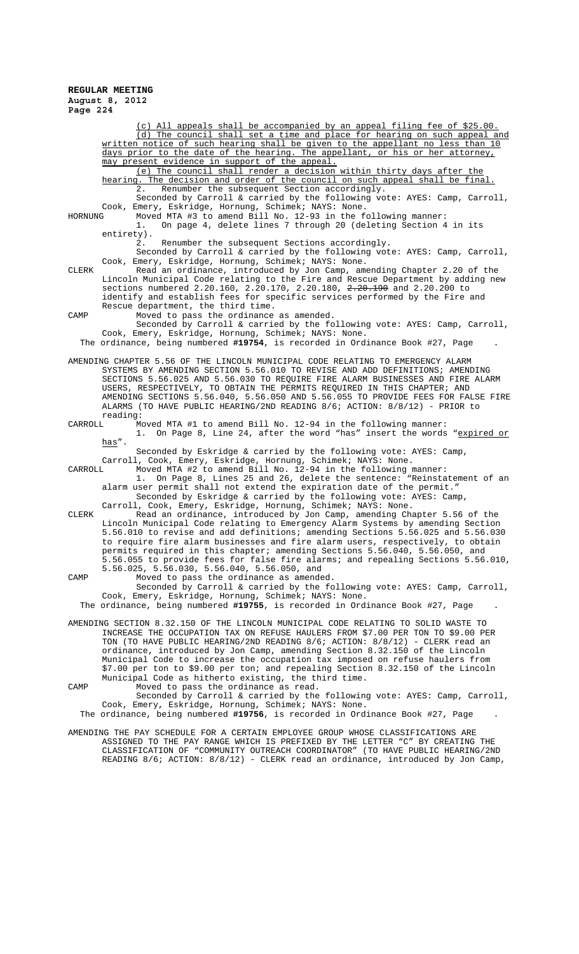All appeals shall be accompanied by an appeal filing fee of \$25.00. (d) The council shall set a time and place for hearing on such appeal and written notice of such hearing shall be given to the appellant no less than 10 days prior to the date of the hearing. The appellant, or his or her attorney, may present evidence in support of the appeal. (e) The council shall render a decision within thirty days after the hearing. The decision and order of the council on such appeal shall be final. 2. Renumber the subsequent Section accordingly. Seconded by Carroll & carried by the following vote: AYES: Camp, Carroll, Cook, Emery, Eskridge, Hornung, Schimek; NAYS: None. HORNUNG Moved MTA #3 to amend Bill No. 12-93 in the following manner: 1. On page 4, delete lines 7 through 20 (deleting Section 4 in its entirety). 2. Renumber the subsequent Sections accordingly. Seconded by Carroll & carried by the following vote: AYES: Camp, Carroll, Cook, Emery, Eskridge, Hornung, Schimek; NAYS: None. CLERK Read an ordinance, introduced by Jon Camp, amending Chapter 2.20 of the Lincoln Municipal Code relating to the Fire and Rescue Department by adding new sections numbered 2.20.160, 2.20.170, 2.20.180, 2.20.190 and 2.20.200 to identify and establish fees for specific services performed by the Fire and Rescue department, the third time. CAMP Moved to pass the ordinance as amended. Seconded by Carroll & carried by the following vote: AYES: Camp, Carroll, Cook, Emery, Eskridge, Hornung, Schimek; NAYS: None. The ordinance, being numbered **#19754**, is recorded in Ordinance Book #27, Page . AMENDING CHAPTER 5.56 OF THE LINCOLN MUNICIPAL CODE RELATING TO EMERGENCY ALARM SYSTEMS BY AMENDING SECTION 5.56.010 TO REVISE AND ADD DEFINITIONS; AMENDING SECTIONS 5.56.025 AND 5.56.030 TO REQUIRE FIRE ALARM BUSINESSES AND FIRE ALARM USERS, RESPECTIVELY, TO OBTAIN THE PERMITS REQUIRED IN THIS CHAPTER; AND AMENDING SECTIONS 5.56.040, 5.56.050 AND 5.56.055 TO PROVIDE FEES FOR FALSE FIRE ALARMS (TO HAVE PUBLIC HEARING/2ND READING 8/6; ACTION: 8/8/12) - PRIOR to reading:<br>CARROLL Mo CARROLL Moved MTA #1 to amend Bill No. 12-94 in the following manner: 1. On Page 8, Line 24, after the word "has" insert the words "<u>expired or</u> has". Seconded by Eskridge & carried by the following vote: AYES: Camp, Carroll, Cook, Emery, Eskridge, Hornung, Schimek; NAYS: None. CARROLL Moved MTA #2 to amend Bill No. 12-94 in the following manner: 1. On Page 8, Lines 25 and 26, delete the sentence: "Reinstatement of an alarm user permit shall not extend the expiration date of the permit." Seconded by Eskridge & carried by the following vote: AYES: Camp, Carroll, Cook, Emery, Eskridge, Hornung, Schimek; NAYS: None. CLERK Read an ordinance, introduced by Jon Camp, amending Chapter 5.56 of the Lincoln Municipal Code relating to Emergency Alarm Systems by amending Section 5.56.010 to revise and add definitions; amending Sections 5.56.025 and 5.56.030 to require fire alarm businesses and fire alarm users, respectively, to obtain permits required in this chapter; amending Sections 5.56.040, 5.56.050, and 5.56.055 to provide fees for false fire alarms; and repealing Sections 5.56.010, 5.56.025, 5.56.030, 5.56.040, 5.56.050, and CAMP Moved to pass the ordinance as amended. Seconded by Carroll & carried by the following vote: AYES: Camp, Carroll, Cook, Emery, Eskridge, Hornung, Schimek; NAYS: None. The ordinance, being numbered **#19755**, is recorded in Ordinance Book #27, Page . AMENDING SECTION 8.32.150 OF THE LINCOLN MUNICIPAL CODE RELATING TO SOLID WASTE TO INCREASE THE OCCUPATION TAX ON REFUSE HAULERS FROM \$7.00 PER TON TO \$9.00 PER TON (TO HAVE PUBLIC HEARING/2ND READING 8/6; ACTION: 8/8/12) - CLERK read an ordinance, introduced by Jon Camp, amending Section 8.32.150 of the Lincoln Municipal Code to increase the occupation tax imposed on refuse haulers from \$7.00 per ton to \$9.00 per ton; and repealing Section 8.32.150 of the Lincoln Municipal Code as hitherto existing, the third time. CAMP Moved to pass the ordinance as read. Seconded by Carroll & carried by the following vote: AYES: Camp, Carroll, Cook, Emery, Eskridge, Hornung, Schimek; NAYS: None. The ordinance, being numbered **#19756**, is recorded in Ordinance Book #27, Page . AMENDING THE PAY SCHEDULE FOR A CERTAIN EMPLOYEE GROUP WHOSE CLASSIFICATIONS ARE ASSIGNED TO THE PAY RANGE WHICH IS PREFIXED BY THE LETTER "C" BY CREATING THE CLASSIFICATION OF "COMMUNITY OUTREACH COORDINATOR" (TO HAVE PUBLIC HEARING/2ND

READING 8/6; ACTION: 8/8/12) - CLERK read an ordinance, introduced by Jon Camp,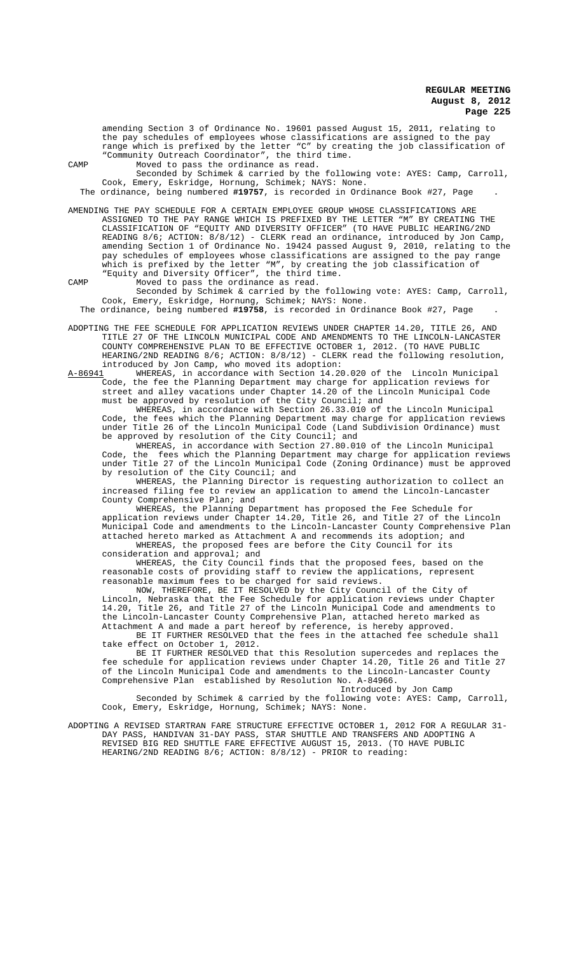amending Section 3 of Ordinance No. 19601 passed August 15, 2011, relating to the pay schedules of employees whose classifications are assigned to the pay range which is prefixed by the letter "C" by creating the job classification of "Community Outreach Coordinator", the third time. CAMP Moved to pass the ordinance as read.

Seconded by Schimek & carried by the following vote: AYES: Camp, Carroll, Cook, Emery, Eskridge, Hornung, Schimek; NAYS: None.

The ordinance, being numbered **#19757**, is recorded in Ordinance Book #27, Page .

AMENDING THE PAY SCHEDULE FOR A CERTAIN EMPLOYEE GROUP WHOSE CLASSIFICATIONS ARE ASSIGNED TO THE PAY RANGE WHICH IS PREFIXED BY THE LETTER "M" BY CREATING THE CLASSIFICATION OF "EQUITY AND DIVERSITY OFFICER" (TO HAVE PUBLIC HEARING/2ND READING 8/6; ACTION: 8/8/12) - CLERK read an ordinance, introduced by Jon Camp amending Section 1 of Ordinance No. 19424 passed August 9, 2010, relating to the pay schedules of employees whose classifications are assigned to the pay range which is prefixed by the letter "M", by creating the job classification of "Equity and Diversity Officer", the third time.

CAMP Moved to pass the ordinance as read.

Seconded by Schimek & carried by the following vote: AYES: Camp, Carroll, Cook, Emery, Eskridge, Hornung, Schimek; NAYS: None.

The ordinance, being numbered **#19758**, is recorded in Ordinance Book #27, Page .

ADOPTING THE FEE SCHEDULE FOR APPLICATION REVIEWS UNDER CHAPTER 14.20, TITLE 26, AND TITLE 27 OF THE LINCOLN MUNICIPAL CODE AND AMENDMENTS TO THE LINCOLN-LANCASTER COUNTY COMPREHENSIVE PLAN TO BE EFFECTIVE OCTOBER 1, 2012. (TO HAVE PUBLIC HEARING/2ND READING 8/6; ACTION: 8/8/12) - CLERK read the following resolution, introduced by Jon Camp, who moved its adoption:<br>A-86941 WHEREAS, in accordance with Section 14.20

WHEREAS, in accordance with Section 14.20.020 of the Lincoln Municipal Code, the fee the Planning Department may charge for application reviews for street and alley vacations under Chapter 14.20 of the Lincoln Municipal Code must be approved by resolution of the City Council; and

WHEREAS, in accordance with Section 26.33.010 of the Lincoln Municipal Code, the fees which the Planning Department may charge for application reviews under Title 26 of the Lincoln Municipal Code (Land Subdivision Ordinance) must be approved by resolution of the City Council; and

WHEREAS, in accordance with Section 27.80.010 of the Lincoln Municipal Code, the fees which the Planning Department may charge for application reviews under Title 27 of the Lincoln Municipal Code (Zoning Ordinance) must be approved by resolution of the City Council; and

WHEREAS, the Planning Director is requesting authorization to collect an increased filing fee to review an application to amend the Lincoln-Lancaster County Comprehensive Plan; and

WHEREAS, the Planning Department has proposed the Fee Schedule for application reviews under Chapter 14.20, Title 26, and Title 27 of the Lincoln Municipal Code and amendments to the Lincoln-Lancaster County Comprehensive Plan attached hereto marked as Attachment A and recommends its adoption; and WHEREAS, the proposed fees are before the City Council for its

consideration and approval; and

WHEREAS, the City Council finds that the proposed fees, based on the reasonable costs of providing staff to review the applications, represent reasonable maximum fees to be charged for said reviews.

NOW, THEREFORE, BE IT RESOLVED by the City Council of the City of Lincoln, Nebraska that the Fee Schedule for application reviews under Chapter 14.20, Title 26, and Title 27 of the Lincoln Municipal Code and amendments to the Lincoln-Lancaster County Comprehensive Plan, attached hereto marked as Attachment A and made a part hereof by reference, is hereby approved.

BE IT FURTHER RESOLVED that the fees in the attached fee schedule shall take effect on October 1, 2012.

BE IT FURTHER RESOLVED that this Resolution supercedes and replaces the fee schedule for application reviews under Chapter 14.20, Title 26 and Title 27 of the Lincoln Municipal Code and amendments to the Lincoln-Lancaster County Comprehensive Plan established by Resolution No. A-84966.

Introduced by Jon Camp

Seconded by Schimek & carried by the following vote: AYES: Camp, Carroll, Cook, Emery, Eskridge, Hornung, Schimek; NAYS: None.

ADOPTING A REVISED STARTRAN FARE STRUCTURE EFFECTIVE OCTOBER 1, 2012 FOR A REGULAR 31- DAY PASS, HANDIVAN 31-DAY PASS, STAR SHUTTLE AND TRANSFERS AND ADOPTING A REVISED BIG RED SHUTTLE FARE EFFECTIVE AUGUST 15, 2013. (TO HAVE PUBLIC HEARING/2ND READING 8/6; ACTION: 8/8/12) - PRIOR to reading: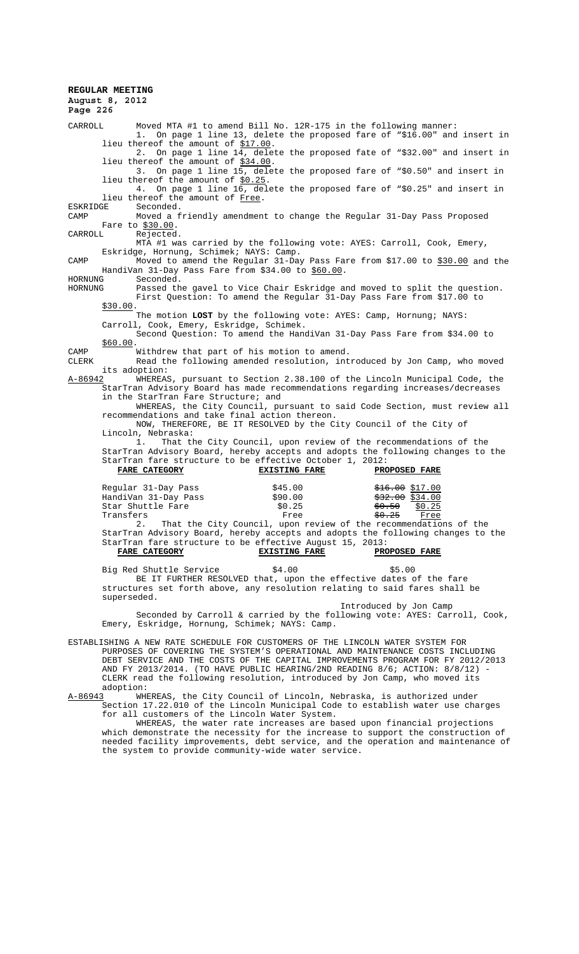**REGULAR MEETING August 8, 2012 Page 226** CARROLL Moved MTA #1 to amend Bill No. 12R-175 in the following manner: 1. On page 1 line 13, delete the proposed fare of "\$16.00" and insert in lieu thereof the amount of \$17.00. 2. On page 1 line  $14$ , delete the proposed fate of "\$32.00" and insert in lieu thereof the amount of \$34.00. 3. On page 1 line 15, delete the proposed fare of "\$0.50" and insert in lieu thereof the amount of \$0.25. 4. On page 1 line 16, delete the proposed fare of "\$0.25" and insert in lieu thereof the amount of Free.<br>ESKRIDGE Seconded. ESKRIDGE Seconded.<br>CAMP Moved a f Moved a friendly amendment to change the Regular 31-Day Pass Proposed Fare to \$30.00.<br>CARROLL Rejected. CARROLL Rejected. MTA #1 was carried by the following vote: AYES: Carroll, Cook, Emery, Eskridge, Hornung, Schimek; NAYS: Camp. CAMP Moved to amend the Regular 31-Day Pass Fare from \$17.00 to \$30.00 and the HandiVan 31-Day Pass Fare from \$34.00 to \$60.00.<br>HORNUNG Seconded. HORNUNG Seconded.<br>HORNUNG Passed th Passed the gavel to Vice Chair Eskridge and moved to split the question. First Question: To amend the Regular 31-Day Pass Fare from \$17.00 to \$30.00. The motion **LOST** by the following vote: AYES: Camp, Hornung; NAYS: Carroll, Cook, Emery, Eskridge, Schimek. Second Question: To amend the HandiVan 31-Day Pass Fare from \$34.00 to \$60.00. CAMP Withdrew that part of his motion to amend.<br>CLERK Read the following amended resolution. int. Read the following amended resolution, introduced by Jon Camp, who moved its adoption:<br>A-86942 WHEREAS  $\overline{W}$ HEREAS, pursuant to Section 2.38.100 of the Lincoln Municipal Code, the StarTran Advisory Board has made recommendations regarding increases/decreases in the StarTran Fare Structure; and WHEREAS, the City Council, pursuant to said Code Section, must review all recommendations and take final action thereon. NOW, THEREFORE, BE IT RESOLVED by the City Council of the City of Lincoln, Nebraska: 1. That the City Council, upon review of the recommendations of the StarTran Advisory Board, hereby accepts and adopts the following changes to the StarTran fare structure to be effective October 1, 2012: **FARE CATEGORY EXISTING FARE PROPOSED FARE** Regular 31-Day Pass \$45.00 \$16.00 \$16.00 \$17.00<br>
HandiVan 31-Day Pass \$90.00 \$32.00 \$334.00 HandiVan 31-Day Pass \$90.00 \$32.00 \$32.00 \$34.00<br>Star Shuttle Fare \$0.25 \$0.25 \$0.25 Star Shuttle Fare  $$0.25$   $$0.25$   $$0.25$   $$0.25$   $$0.25$ Transfers Free 50.25 Free<br>
2 That the City Council, upon review of the recommendation That the City Council, upon review of the recommendations of the StarTran Advisory Board, hereby accepts and adopts the following changes to the StarTran fare structure to be effective August 15, 2013: **FARE CATEGORY EXISTING FARE PROPOSED FARE** Big Red Shuttle Service  $$4.00$  \$5.00 BE IT FURTHER RESOLVED that, upon the effective dates of the fare structures set forth above, any resolution relating to said fares shall be superseded.

Introduced by Jon Camp Seconded by Carroll & carried by the following vote: AYES: Carroll, Cook, Emery, Eskridge, Hornung, Schimek; NAYS: Camp.

ESTABLISHING A NEW RATE SCHEDULE FOR CUSTOMERS OF THE LINCOLN WATER SYSTEM FOR PURPOSES OF COVERING THE SYSTEM'S OPERATIONAL AND MAINTENANCE COSTS INCLUDING DEBT SERVICE AND THE COSTS OF THE CAPITAL IMPROVEMENTS PROGRAM FOR FY 2012/2013 AND FY 2013/2014. (TO HAVE PUBLIC HEARING/2ND READING 8/6; ACTION: 8/8/12) - CLERK read the following resolution, introduced by Jon Camp, who moved its adoption:<br>A-86943 WHI

WHEREAS, the City Council of Lincoln, Nebraska, is authorized under Section 17.22.010 of the Lincoln Municipal Code to establish water use charges for all customers of the Lincoln Water System.

WHEREAS, the water rate increases are based upon financial projections which demonstrate the necessity for the increase to support the construction of needed facility improvements, debt service, and the operation and maintenance of the system to provide community-wide water service.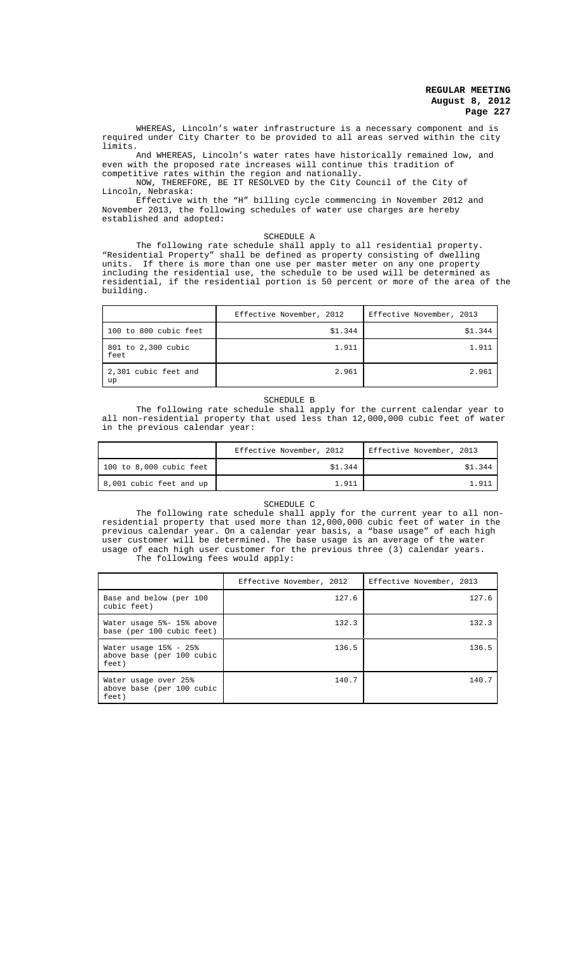WHEREAS, Lincoln's water infrastructure is a necessary component and is required under City Charter to be provided to all areas served within the city limits.

And WHEREAS, Lincoln's water rates have historically remained low, and even with the proposed rate increases will continue this tradition of competitive rates within the region and nationally.

NOW, THEREFORE, BE IT RESOLVED by the City Council of the City of Lincoln, Nebraska:

Effective with the "H" billing cycle commencing in November 2012 and November 2013, the following schedules of water use charges are hereby established and adopted:

SCHEDULE A

The following rate schedule shall apply to all residential property. "Residential Property" shall be defined as property consisting of dwelling units. If there is more than one use per master meter on any one property including the residential use, the schedule to be used will be determined as residential, if the residential portion is 50 percent or more of the area of the building.

|                            | Effective November, 2012 | Effective November, 2013 |
|----------------------------|--------------------------|--------------------------|
| 100 to 800 cubic feet      | \$1.344                  | \$1.344                  |
| 801 to 2,300 cubic<br>feet | 1.911                    | 1.911                    |
| 2,301 cubic feet and<br>up | 2.961                    | 2.961                    |

### SCHEDULE B

The following rate schedule shall apply for the current calendar year to all non-residential property that used less than 12,000,000 cubic feet of water in the previous calendar year:

|                           | Effective November, 2012 | Effective November, 2013 |
|---------------------------|--------------------------|--------------------------|
| 100 to $8,000$ cubic feet | \$1.344                  | \$1.344                  |
| 8,001 cubic feet and up   | 1.911                    | 1.911                    |

#### SCHEDULE C

The following rate schedule shall apply for the current year to all nonresidential property that used more than 12,000,000 cubic feet of water in the previous calendar year. On a calendar year basis, a "base usage" of each high user customer will be determined. The base usage is an average of the water usage of each high user customer for the previous three (3) calendar years. The following fees would apply:

|                                                                 | Effective November, 2012 | Effective November, 2013 |
|-----------------------------------------------------------------|--------------------------|--------------------------|
| Base and below (per 100<br>cubic feet)                          | 127.6                    | 127.6                    |
| Water usage 5%- 15% above<br>base (per 100 cubic feet)          | 132.3                    | 132.3                    |
| Water usage $15\% - 25\%$<br>above base (per 100 cubic<br>feet) | 136.5                    | 136.5                    |
| Water usage over 25%<br>above base (per 100 cubic<br>feet)      | 140.7                    | 140.7                    |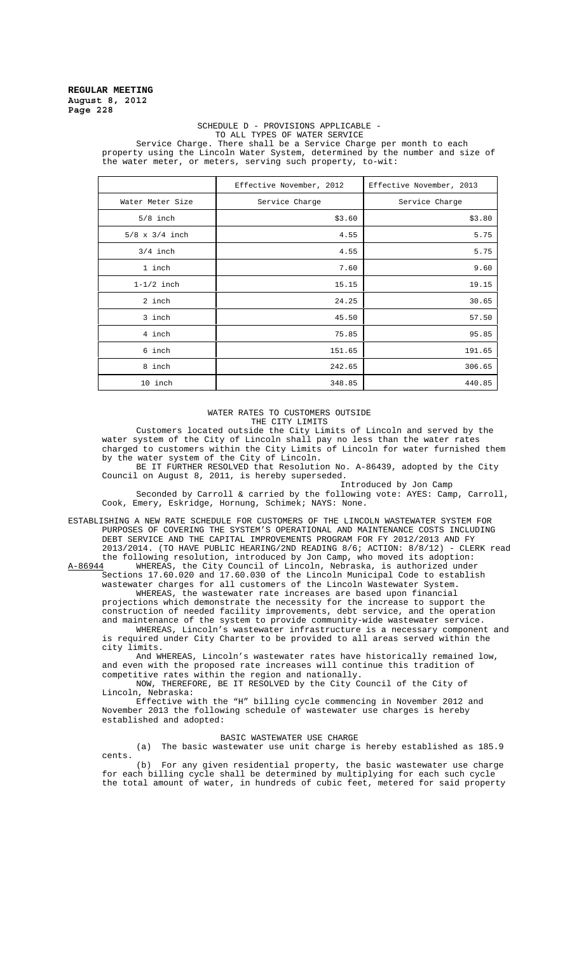#### SCHEDULE D - PROVISIONS APPLICABLE - TO ALL TYPES OF WATER SERVICE

Service Charge. There shall be a Service Charge per month to each property using the Lincoln Water System, determined by the number and size of the water meter, or meters, serving such property, to-wit:

|                       | Effective November, 2012 | Effective November, 2013 |
|-----------------------|--------------------------|--------------------------|
| Water Meter Size      | Service Charge           | Service Charge           |
| $5/8$ inch            | \$3.60                   | \$3.80                   |
| $5/8 \times 3/4$ inch | 4.55                     | 5.75                     |
| $3/4$ inch            | 4.55                     | 5.75                     |
| 1 inch                | 7.60                     | 9.60                     |
| $1-1/2$ inch          | 15.15                    | 19.15                    |
| 2 inch                | 24.25                    | 30.65                    |
| 3 inch                | 45.50                    | 57.50                    |
| 4 inch                | 75.85                    | 95.85                    |
| 6 inch                | 151.65                   | 191.65                   |
| 8 inch                | 242.65                   | 306.65                   |
| 10 inch               | 348.85                   | 440.85                   |

WATER RATES TO CUSTOMERS OUTSIDE THE CITY LIMITS

Customers located outside the City Limits of Lincoln and served by the water system of the City of Lincoln shall pay no less than the water rates charged to customers within the City Limits of Lincoln for water furnished them by the water system of the City of Lincoln.

BE IT FURTHER RESOLVED that Resolution No. A-86439, adopted by the City Council on August 8, 2011, is hereby superseded.

Introduced by Jon Camp Seconded by Carroll & carried by the following vote: AYES: Camp, Carroll, Cook, Emery, Eskridge, Hornung, Schimek; NAYS: None.

ESTABLISHING A NEW RATE SCHEDULE FOR CUSTOMERS OF THE LINCOLN WASTEWATER SYSTEM FOR PURPOSES OF COVERING THE SYSTEM'S OPERATIONAL AND MAINTENANCE COSTS INCLUDING DEBT SERVICE AND THE CAPITAL IMPROVEMENTS PROGRAM FOR FY 2012/2013 AND FY 2013/2014. (TO HAVE PUBLIC HEARING/2ND READING 8/6; ACTION: 8/8/12) - CLERK read the following resolution, introduced by Jon Camp, who moved its adoption:<br>A-86944 WHEREAS, the City Council of Lincoln, Nebraska, is authorized under

A-86944 WHEREAS, the City Council of Lincoln, Nebraska, is authorized under Sections 17.60.020 and 17.60.030 of the Lincoln Municipal Code to establish wastewater charges for all customers of the Lincoln Wastewater System. WHEREAS, the wastewater rate increases are based upon financial

projections which demonstrate the necessity for the increase to support the construction of needed facility improvements, debt service, and the operation and maintenance of the system to provide community-wide wastewater service. WHEREAS, Lincoln's wastewater infrastructure is a necessary component and is required under City Charter to be provided to all areas served within the

city limits. And WHEREAS, Lincoln's wastewater rates have historically remained low, and even with the proposed rate increases will continue this tradition of

competitive rates within the region and nationally. NOW, THEREFORE, BE IT RESOLVED by the City Council of the City of Lincoln, Nebraska:

Effective with the "H" billing cycle commencing in November 2012 and November 2013 the following schedule of wastewater use charges is hereby established and adopted:

### BASIC WASTEWATER USE CHARGE

(a) The basic wastewater use unit charge is hereby established as 185.9 cents.

(b) For any given residential property, the basic wastewater use charge for each billing cycle shall be determined by multiplying for each such cycle the total amount of water, in hundreds of cubic feet, metered for said property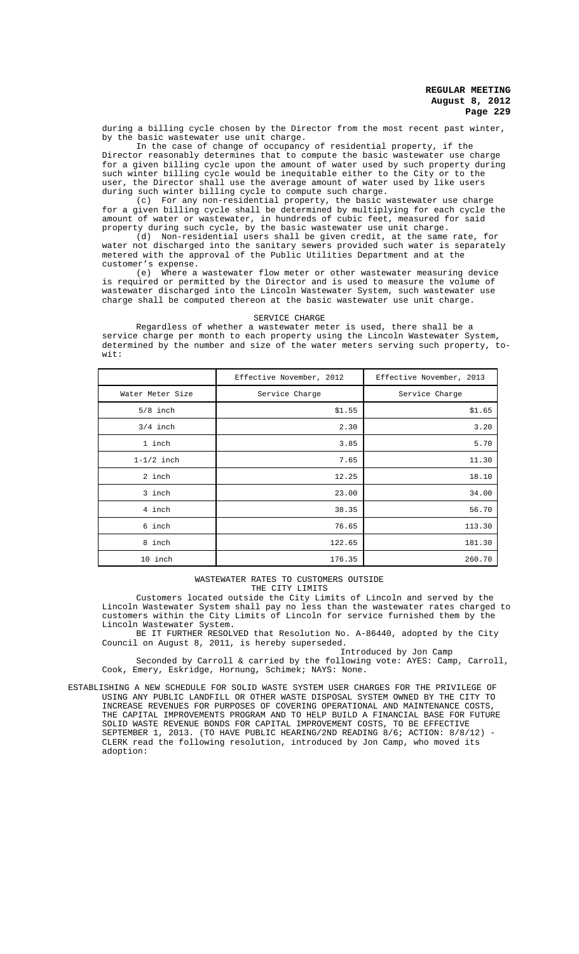during a billing cycle chosen by the Director from the most recent past winter, by the basic wastewater use unit charge.

In the case of change of occupancy of residential property, if the Director reasonably determines that to compute the basic wastewater use charge for a given billing cycle upon the amount of water used by such property during such winter billing cycle would be inequitable either to the City or to the user, the Director shall use the average amount of water used by like users during such winter billing cycle to compute such charge.

(c) For any non-residential property, the basic wastewater use charge for a given billing cycle shall be determined by multiplying for each cycle the amount of water or wastewater, in hundreds of cubic feet, measured for said property during such cycle, by the basic wastewater use unit charge.

(d) Non-residential users shall be given credit, at the same rate, for water not discharged into the sanitary sewers provided such water is separately metered with the approval of the Public Utilities Department and at the customer's expense.

(e) Where a wastewater flow meter or other wastewater measuring device is required or permitted by the Director and is used to measure the volume of wastewater discharged into the Lincoln Wastewater System, such wastewater use charge shall be computed thereon at the basic wastewater use unit charge.

### SERVICE CHARGE

Regardless of whether a wastewater meter is used, there shall be a service charge per month to each property using the Lincoln Wastewater System, determined by the number and size of the water meters serving such property, towit:

|                  | Effective November, 2012 | Effective November, 2013 |
|------------------|--------------------------|--------------------------|
| Water Meter Size | Service Charge           | Service Charge           |
| $5/8$ inch       | \$1.55                   | \$1.65                   |
| $3/4$ inch       | 2.30                     | 3.20                     |
| 1 inch           | 3.85                     | 5.70                     |
| $1-1/2$ inch     | 7.65                     | 11.30                    |
| 2 inch           | 12.25                    | 18.10                    |
| 3 inch           | 23.00                    | 34.00                    |
| 4 inch           | 38.35                    | 56.70                    |
| 6 inch           | 76.65                    | 113.30                   |
| 8 inch           | 122.65                   | 181.30                   |
| 10 inch          | 176.35                   | 260.70                   |

WASTEWATER RATES TO CUSTOMERS OUTSIDE THE CITY LIMITS

Customers located outside the City Limits of Lincoln and served by the Lincoln Wastewater System shall pay no less than the wastewater rates charged to customers within the City Limits of Lincoln for service furnished them by the Lincoln Wastewater System.

BE IT FURTHER RESOLVED that Resolution No. A-86440, adopted by the City Council on August 8, 2011, is hereby superseded.

Introduced by Jon Camp Seconded by Carroll & carried by the following vote: AYES: Camp, Carroll, Cook, Emery, Eskridge, Hornung, Schimek; NAYS: None.

ESTABLISHING A NEW SCHEDULE FOR SOLID WASTE SYSTEM USER CHARGES FOR THE PRIVILEGE OF USING ANY PUBLIC LANDFILL OR OTHER WASTE DISPOSAL SYSTEM OWNED BY THE CITY TO INCREASE REVENUES FOR PURPOSES OF COVERING OPERATIONAL AND MAINTENANCE COSTS, THE CAPITAL IMPROVEMENTS PROGRAM AND TO HELP BUILD A FINANCIAL BASE FOR FUTURE SOLID WASTE REVENUE BONDS FOR CAPITAL IMPROVEMENT COSTS, TO BE EFFECTIVE SEPTEMBER 1, 2013. (TO HAVE PUBLIC HEARING/2ND READING 8/6; ACTION: 8/8/12) - CLERK read the following resolution, introduced by Jon Camp, who moved its adoption: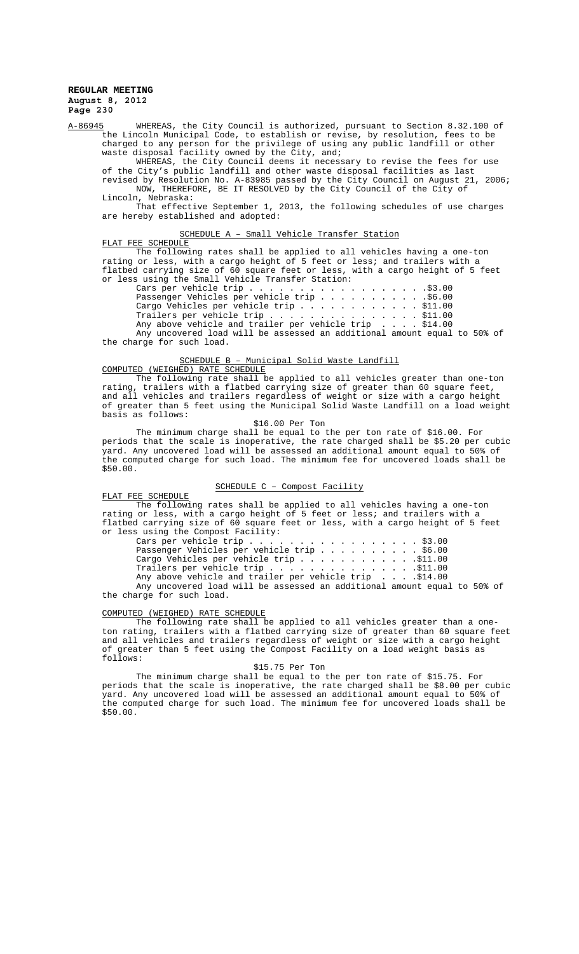A-86945 WHEREAS, the City Council is authorized, pursuant to Section 8.32.100 of the Lincoln Municipal Code, to establish or revise, by resolution, fees to be charged to any person for the privilege of using any public landfill or other waste disposal facility owned by the City, and;

WHEREAS, the City Council deems it necessary to revise the fees for use of the City's public landfill and other waste disposal facilities as last revised by Resolution No. A-83985 passed by the City Council on August 21, 2006; NOW, THEREFORE, BE IT RESOLVED by the City Council of the City of

Lincoln, Nebraska: That effective September 1, 2013, the following schedules of use charges

are hereby established and adopted:

### SCHEDULE A – Small Vehicle Transfer Station

FLAT FEE SCHEDULE The following rates shall be applied to all vehicles having a one-ton rating or less, with a cargo height of 5 feet or less; and trailers with a flatbed carrying size of 60 square feet or less, with a cargo height of 5 feet or less using the Small Vehicle Transfer Station:

Cars per vehicle trip . . . . . . . . . . . . . . . . . .\$3.00 Passenger Vehicles per vehicle trip . . . . . . . . . . .\$6.00 Cargo Vehicles per vehicle trip . . . . . . . . . . . . \$11.00 Trailers per vehicle trip  $\dots\, \dots\, \dots\, \dots\, \dots\, \dots\, \$  \$11.00

Any above vehicle and trailer per vehicle trip . . . . \$14.00 Any uncovered load will be assessed an additional amount equal to 50% of the charge for such load.

#### SCHEDULE B – Municipal Solid Waste Landfill COMPUTED (WEIGHED) RATE SCHEDULE

The following rate shall be applied to all vehicles greater than one-ton rating, trailers with a flatbed carrying size of greater than 60 square feet, and all vehicles and trailers regardless of weight or size with a cargo height of greater than 5 feet using the Municipal Solid Waste Landfill on a load weight basis as follows:

#### \$16.00 Per Ton

The minimum charge shall be equal to the per ton rate of \$16.00. For periods that the scale is inoperative, the rate charged shall be \$5.20 per cubic yard. Any uncovered load will be assessed an additional amount equal to 50% of the computed charge for such load. The minimum fee for uncovered loads shall be \$50.00.

### SCHEDULE C – Compost Facility

#### FLAT FEE SCHEDULE

The following rates shall be applied to all vehicles having a one-ton rating or less, with a cargo height of 5 feet or less; and trailers with a flatbed carrying size of 60 square feet or less, with a cargo height of 5 feet or less using the Compost Facility:

Cars per vehicle trip . . . . . . . . . . . . . . . . . \$3.00 Passenger Vehicles per vehicle trip . . . . . . . . . . \$6.00 Cargo Vehicles per vehicle trip . . . . . . . . . . . .\$11.00 Trailers per vehicle trip  $\ldots$  . . . . . . . . . . . . $\mathbb{S}^{11.00}$ Any above vehicle and trailer per vehicle trip . . . .\$14.00 Any uncovered load will be assessed an additional amount equal to 50% of

## COMPUTED (WEIGHED) RATE SCHEDULE

the charge for such load.

The following rate shall be applied to all vehicles greater than a oneton rating, trailers with a flatbed carrying size of greater than 60 square feet and all vehicles and trailers regardless of weight or size with a cargo height of greater than 5 feet using the Compost Facility on a load weight basis as follows:

# \$15.75 Per Ton

The minimum charge shall be equal to the per ton rate of \$15.75. For periods that the scale is inoperative, the rate charged shall be \$8.00 per cubic yard. Any uncovered load will be assessed an additional amount equal to 50% of the computed charge for such load. The minimum fee for uncovered loads shall be \$50.00.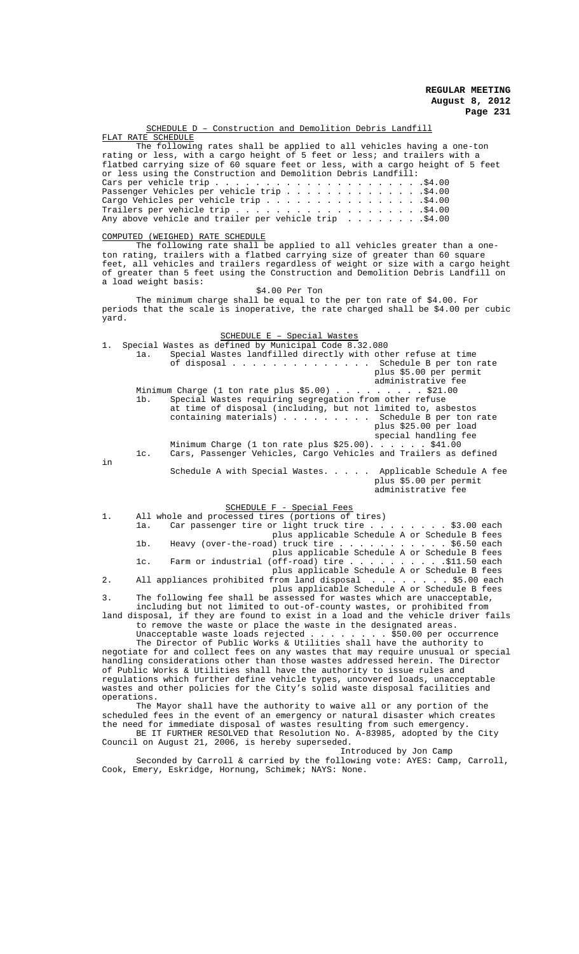| SCHEDULE D - Construction and Demolition Debris Landfill                                                                                                                                                                                                                                                                                                                                                                                                                                                                                                                                                                                                                                                                                                                                                                                                                                                                                    |
|---------------------------------------------------------------------------------------------------------------------------------------------------------------------------------------------------------------------------------------------------------------------------------------------------------------------------------------------------------------------------------------------------------------------------------------------------------------------------------------------------------------------------------------------------------------------------------------------------------------------------------------------------------------------------------------------------------------------------------------------------------------------------------------------------------------------------------------------------------------------------------------------------------------------------------------------|
| FLAT RATE SCHEDULE<br>The following rates shall be applied to all vehicles having a one-ton<br>rating or less, with a cargo height of 5 feet or less; and trailers with a<br>flatbed carrying size of 60 square feet or less, with a cargo height of 5 feet<br>or less using the Construction and Demolition Debris Landfill:<br>Passenger Vehicles per vehicle trip \$4.00<br>Cargo Vehicles per vehicle $\text{trip} \dots \dots \dots \dots \dots \dots \dots$ \$4.00<br>Any above vehicle and trailer per vehicle trip $\dots \dots \dots$<br>COMPUTED (WEIGHED) RATE SCHEDULE<br>The following rate shall be applied to all vehicles greater than a one-<br>ton rating, trailers with a flatbed carrying size of greater than 60 square<br>feet, all vehicles and trailers regardless of weight or size with a cargo height<br>of greater than 5 feet using the Construction and Demolition Debris Landfill on<br>a load weight basis: |
| $$4.00$ Per Ton<br>The minimum charge shall be equal to the per ton rate of \$4.00. For<br>periods that the scale is inoperative, the rate charged shall be \$4.00 per cubic<br>yard.                                                                                                                                                                                                                                                                                                                                                                                                                                                                                                                                                                                                                                                                                                                                                       |
| SCHEDULE E - Special Wastes<br>1.<br>Special Wastes as defined by Municipal Code 8.32.080<br>Special Wastes landfilled directly with other refuse at time<br>la.<br>of disposal Schedule B per ton rate<br>plus \$5.00 per permit<br>administrative fee                                                                                                                                                                                                                                                                                                                                                                                                                                                                                                                                                                                                                                                                                     |
| lb.<br>Special Wastes requiring segregation from other refuse<br>at time of disposal (including, but not limited to, asbestos<br>containing materials) Schedule B per ton rate<br>plus \$25.00 per load<br>special handling fee<br>Minimum Charge (1 ton rate plus \$25.00). \$41.00<br>Cars, Passenger Vehicles, Cargo Vehicles and Trailers as defined<br>lc.                                                                                                                                                                                                                                                                                                                                                                                                                                                                                                                                                                             |
| in<br>Schedule A with Special Wastes. Applicable Schedule A fee<br>plus \$5.00 per permit<br>administrative fee                                                                                                                                                                                                                                                                                                                                                                                                                                                                                                                                                                                                                                                                                                                                                                                                                             |
| SCHEDULE F - Special Fees<br>All whole and processed tires (portions of tires)<br>1.<br>Car passenger tire or light truck tire \$3.00 each<br>la.<br>plus applicable Schedule A or Schedule B fees<br>Heavy (over-the-road) truck tire \$6.50 each<br>$1b$ .<br>plus applicable Schedule A or Schedule B fees<br>Farm or industrial (off-road) tire \$11.50 each<br>$1c$ .<br>plus applicable Schedule A or Schedule B fees                                                                                                                                                                                                                                                                                                                                                                                                                                                                                                                 |
| All appliances prohibited from land disposal \$5.00 each<br>2.<br>plus applicable Schedule A or Schedule B fees                                                                                                                                                                                                                                                                                                                                                                                                                                                                                                                                                                                                                                                                                                                                                                                                                             |
| 3.<br>The following fee shall be assessed for wastes which are unacceptable,<br>including but not limited to out-of-county wastes, or prohibited from<br>land disposal, if they are found to exist in a load and the vehicle driver fails<br>to remove the waste or place the waste in the designated areas.<br>Unacceptable waste loads rejected $\ldots$ \$50.00 per occurrence<br>The Director of Public Works & Utilities shall have the authority to<br>negotiate for and collect fees on any wastes that may require unusual or special<br>handling considerations other than those wastes addressed herein. The Director<br>of Public Works & Utilities shall have the authority to issue rules and<br>regulations which further define vehicle types, uncovered loads, unacceptable<br>wastes and other policies for the City's solid waste disposal facilities and<br>operations.                                                  |
| The Mayor shall have the authority to waive all or any portion of the<br>scheduled fees in the event of an emergency or natural disaster which creates<br>the need for immediate disposal of wastes resulting from such emergency.<br>BE IT FURTHER RESOLVED that Resolution No. A-83985, adopted by the City<br>Council on August 21, 2006, is hereby superseded.<br>Introduced by Jon Camp                                                                                                                                                                                                                                                                                                                                                                                                                                                                                                                                                |
| Seconded by Carroll & carried by the following vote: AYES: Camp, Carroll,                                                                                                                                                                                                                                                                                                                                                                                                                                                                                                                                                                                                                                                                                                                                                                                                                                                                   |

Cook, Emery, Eskridge, Hornung, Schimek; NAYS: None.